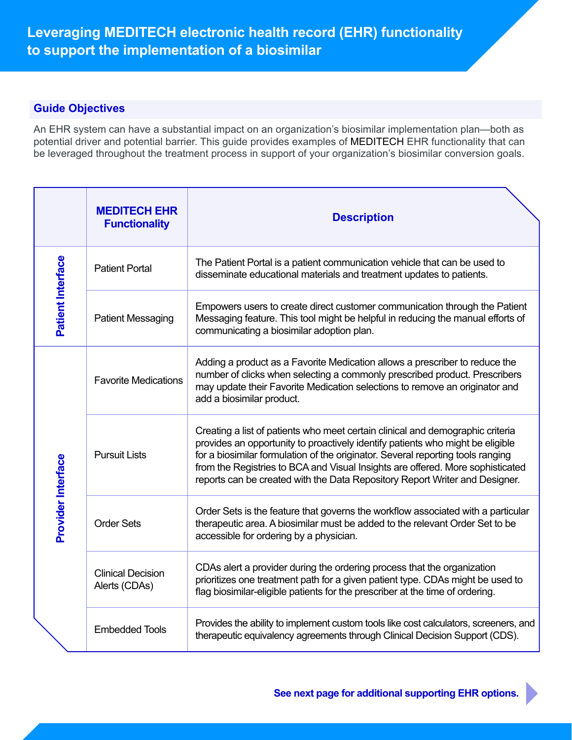# **Guide Objectives**

An EHR system can have a substantial impact on an organization's biosimilar implementation plan—both as potential driver and potential barrier. This guide provides examples of MEDITECH EHR functionality that can be leveraged throughout the treatment process in support of your organization's biosimilar conversion goals.

|                    | <b>MEDITECH EHR</b><br><b>Functionality</b> | <b>Description</b>                                                                                                                                                                                                                                                                                                                                                                                                   |
|--------------------|---------------------------------------------|----------------------------------------------------------------------------------------------------------------------------------------------------------------------------------------------------------------------------------------------------------------------------------------------------------------------------------------------------------------------------------------------------------------------|
| Patient Interface  | <b>Patient Portal</b>                       | The Patient Portal is a patient communication vehicle that can be used to<br>disseminate educational materials and treatment updates to patients.                                                                                                                                                                                                                                                                    |
|                    | <b>Patient Messaging</b>                    | Empowers users to create direct customer communication through the Patient<br>Messaging feature. This tool might be helpful in reducing the manual efforts of<br>communicating a biosimilar adoption plan.                                                                                                                                                                                                           |
| Provider Interface | <b>Favorite Medications</b>                 | Adding a product as a Favorite Medication allows a prescriber to reduce the<br>number of clicks when selecting a commonly prescribed product. Prescribers<br>may update their Favorite Medication selections to remove an originator and<br>add a biosimilar product.                                                                                                                                                |
|                    | <b>Pursuit Lists</b>                        | Creating a list of patients who meet certain clinical and demographic criteria<br>provides an opportunity to proactively identify patients who might be eligible<br>for a biosimilar formulation of the originator. Several reporting tools ranging<br>from the Registries to BCA and Visual Insights are offered. More sophisticated<br>reports can be created with the Data Repository Report Writer and Designer. |
|                    | <b>Order Sets</b>                           | Order Sets is the feature that governs the workflow associated with a particular<br>therapeutic area. A biosimilar must be added to the relevant Order Set to be<br>accessible for ordering by a physician.                                                                                                                                                                                                          |
|                    | <b>Clinical Decision</b><br>Alerts (CDAs)   | CDAs alert a provider during the ordering process that the organization<br>prioritizes one treatment path for a given patient type. CDAs might be used to<br>flag biosimilar-eligible patients for the prescriber at the time of ordering.                                                                                                                                                                           |
|                    | <b>Embedded Tools</b>                       | Provides the ability to implement custom tools like cost calculators, screeners, and<br>therapeutic equivalency agreements through Clinical Decision Support (CDS).                                                                                                                                                                                                                                                  |